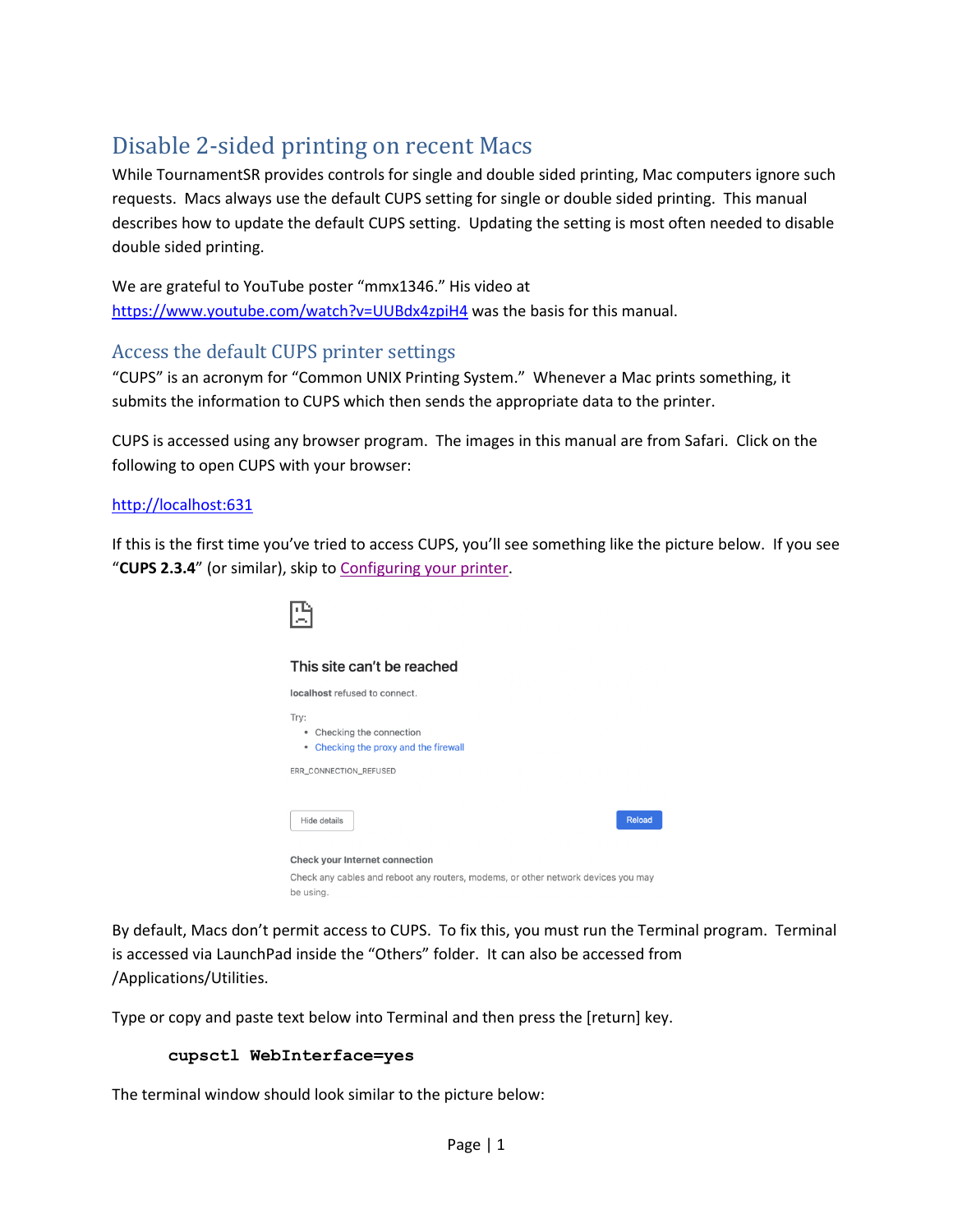# Disable 2-sided printing on recent Macs

While TournamentSR provides controls for single and double sided printing, Mac computers ignore such requests. Macs always use the default CUPS setting for single or double sided printing. This manual describes how to update the default CUPS setting. Updating the setting is most often needed to disable double sided printing.

We are grateful to YouTube poster "mmx1346." His video at <https://www.youtube.com/watch?v=UUBdx4zpiH4> was the basis for this manual.

# Access the default CUPS printer settings

"CUPS" is an acronym for "Common UNIX Printing System." Whenever a Mac prints something, it submits the information to CUPS which then sends the appropriate data to the printer.

CUPS is accessed using any browser program. The images in this manual are from Safari. Click on the following to open CUPS with your browser:

### [http://localhost:631](http://localhost:631/)

If this is the first time you've tried to access CUPS, you'll see something like the picture below. If you see "**CUPS 2.3.4**" (or similar), skip t[o Configuring your printer.](#page-1-0)



By default, Macs don't permit access to CUPS. To fix this, you must run the Terminal program. Terminal is accessed via LaunchPad inside the "Others" folder. It can also be accessed from /Applications/Utilities.

Type or copy and paste text below into Terminal and then press the [return] key.

#### **cupsctl WebInterface=yes**

The terminal window should look similar to the picture below: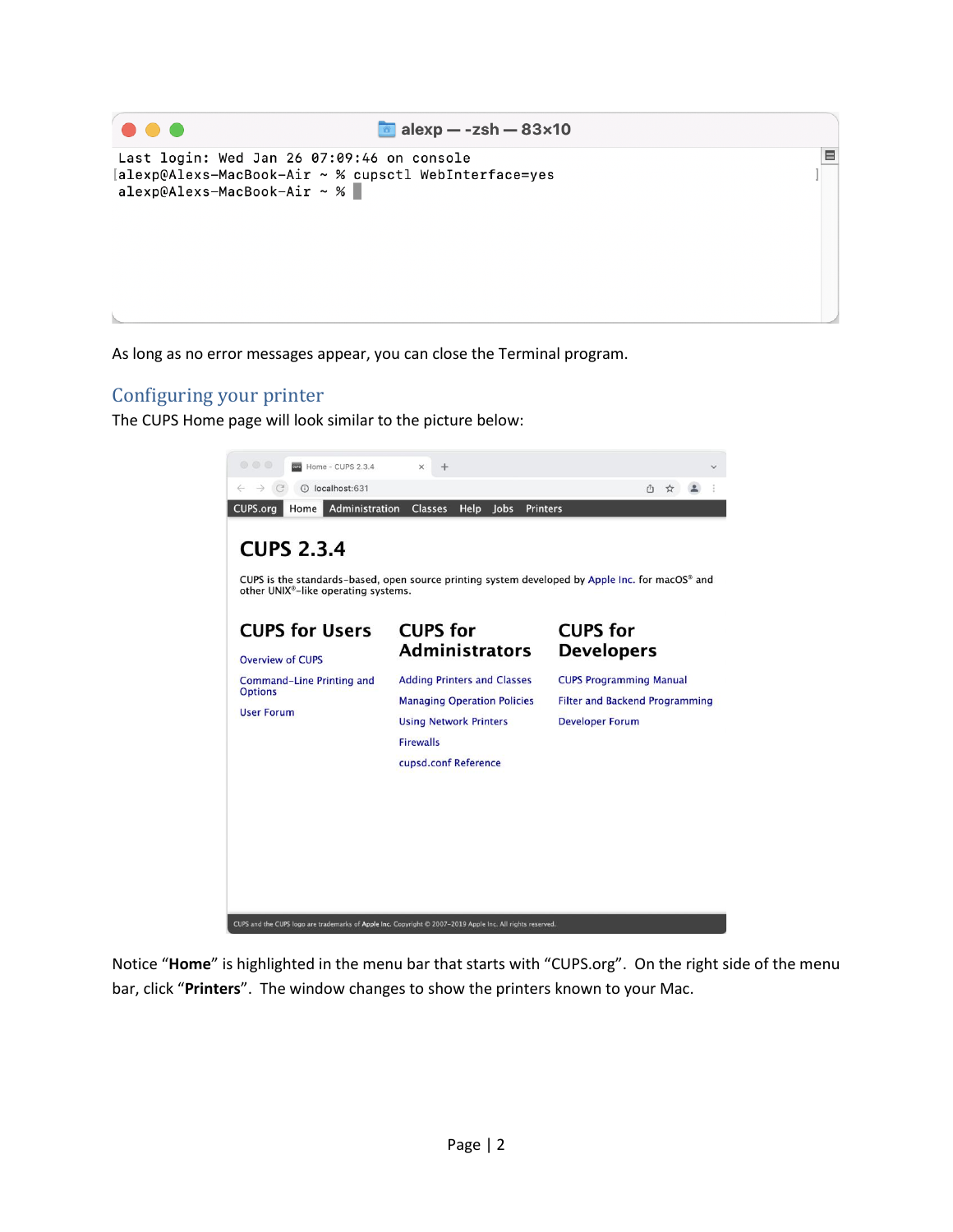

As long as no error messages appear, you can close the Terminal program.

## <span id="page-1-0"></span>Configuring your printer

The CUPS Home page will look similar to the picture below:



Notice "**Home**" is highlighted in the menu bar that starts with "CUPS.org". On the right side of the menu bar, click "**Printers**". The window changes to show the printers known to your Mac.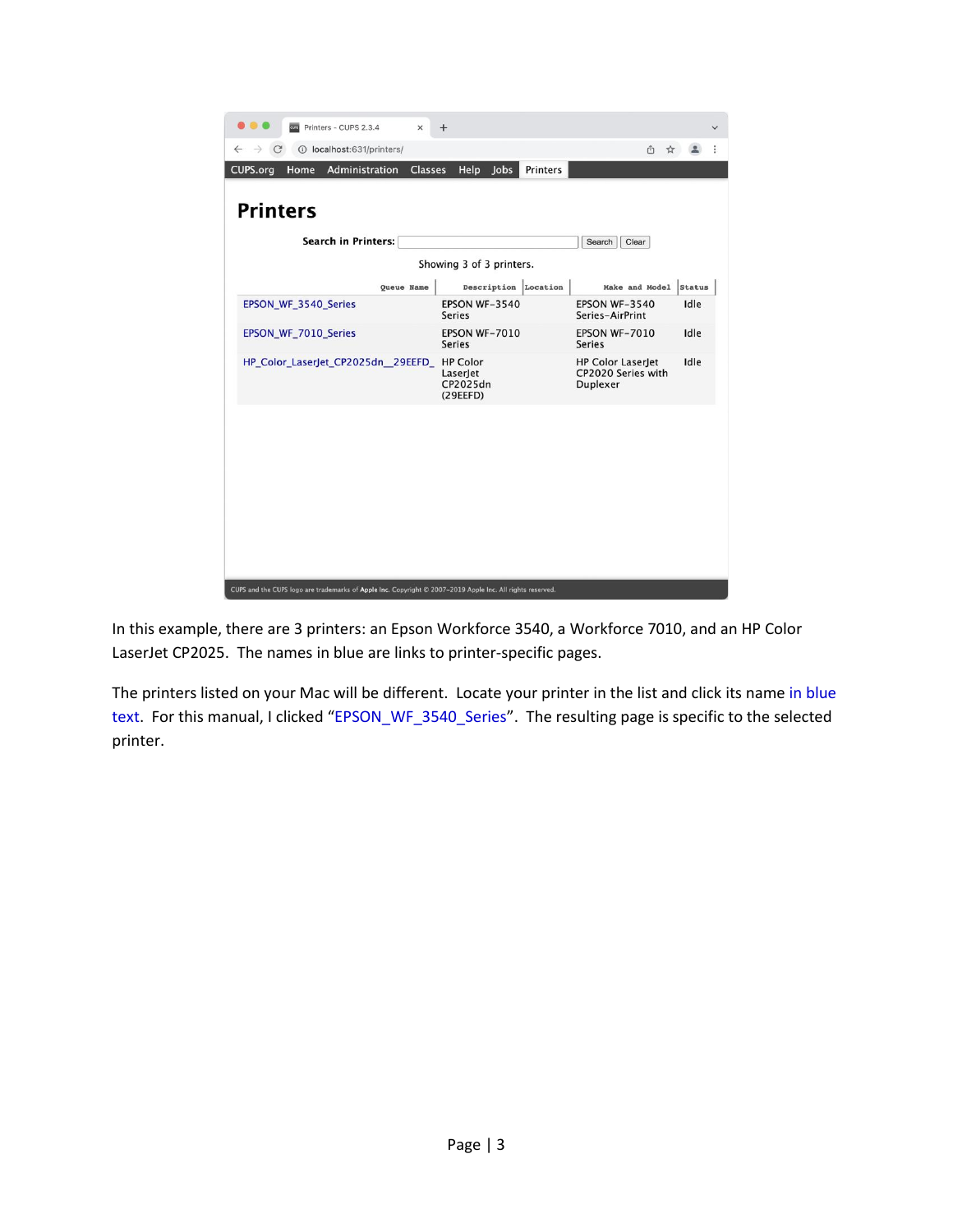

In this example, there are 3 printers: an Epson Workforce 3540, a Workforce 7010, and an HP Color LaserJet CP2025. The names in blue are links to printer-specific pages.

The printers listed on your Mac will be different. Locate your printer in the list and click its name in blue text. For this manual, I clicked "EPSON\_WF\_3540\_Series". The resulting page is specific to the selected printer.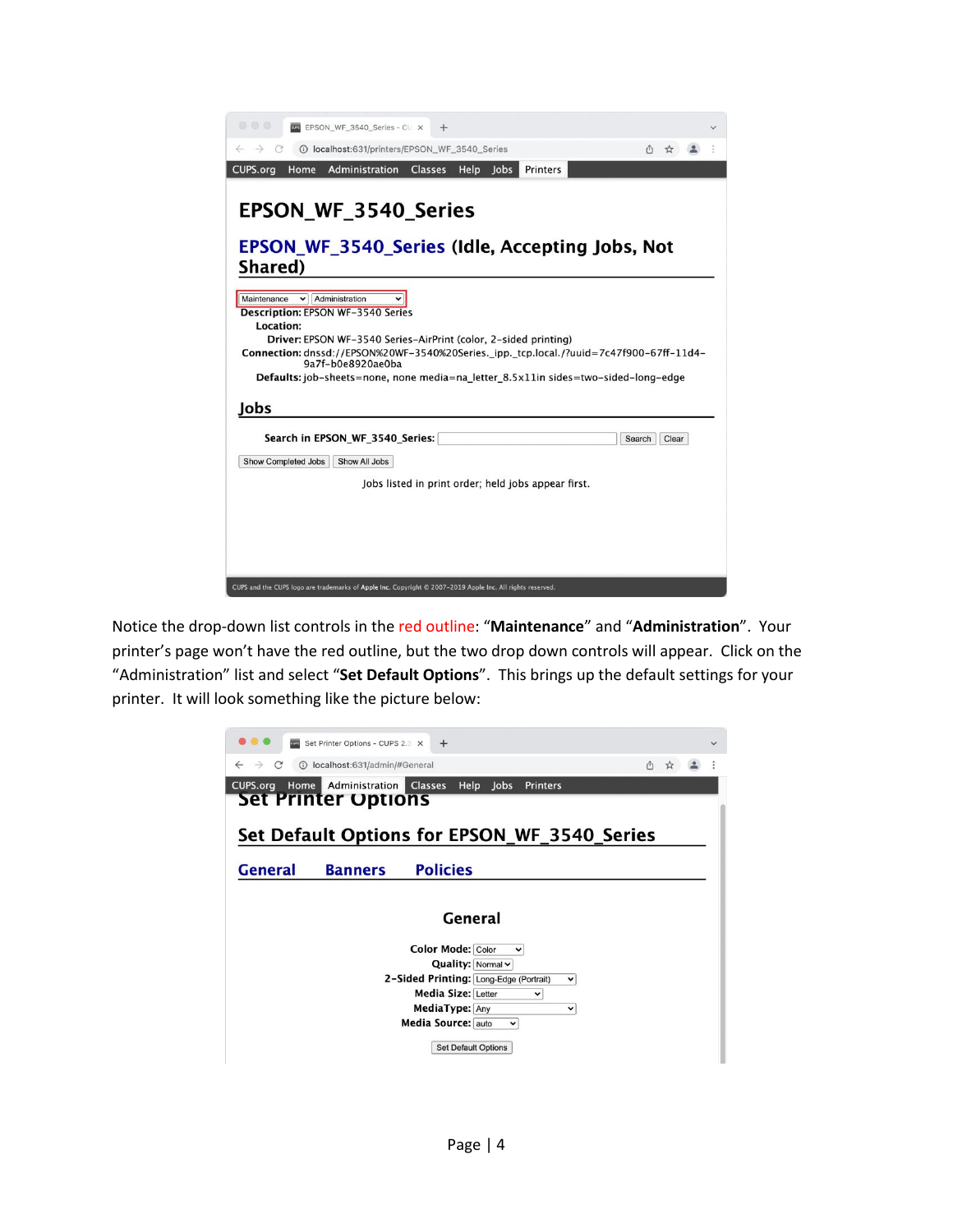| 000<br><b>EPSON_WF_3540_Series - CL X</b><br>$\div$                                                                                                        |  |
|------------------------------------------------------------------------------------------------------------------------------------------------------------|--|
| 1 localhost:631/printers/EPSON_WF_3540_Series                                                                                                              |  |
| CUPS.org<br>Administration<br>Printers<br>Home<br><b>Classes</b><br><b>Help</b><br><b>Jobs</b>                                                             |  |
|                                                                                                                                                            |  |
| <b>EPSON WF 3540 Series</b>                                                                                                                                |  |
| <b>EPSON WF 3540 Series (Idle, Accepting Jobs, Not</b>                                                                                                     |  |
| Shared)                                                                                                                                                    |  |
| Administration<br>Maintenance<br>$\checkmark$<br><b>Description: EPSON WF-3540 Series</b>                                                                  |  |
| Location:                                                                                                                                                  |  |
| Driver: EPSON WF-3540 Series-AirPrint (color, 2-sided printing)<br>Connection: dnssd://EPSON%20WF-3540%20Series._ipp._tcp.local./?uuid=7c47f900-67ff-11d4- |  |
| 9a7f-b0e8920ae0ba                                                                                                                                          |  |
| Defaults: job-sheets=none, none media=na_letter_8.5x11in sides=two-sided-long-edge                                                                         |  |
| Jobs                                                                                                                                                       |  |
|                                                                                                                                                            |  |
| Search in EPSON_WF_3540_Series:<br>Search<br>Clear                                                                                                         |  |
| <b>Show Completed Jobs</b><br>Show All Jobs                                                                                                                |  |
| Jobs listed in print order; held jobs appear first.                                                                                                        |  |
|                                                                                                                                                            |  |
|                                                                                                                                                            |  |
|                                                                                                                                                            |  |
|                                                                                                                                                            |  |
|                                                                                                                                                            |  |
| CUPS and the CUPS logo are trademarks of Apple Inc. Copyright @ 2007-2019 Apple Inc. All rights reserved.                                                  |  |

Notice the drop-down list controls in the red outline: "**Maintenance**" and "**Administration**". Your printer's page won't have the red outline, but the two drop down controls will appear. Click on the "Administration" list and select "**Set Default Options**". This brings up the default settings for your printer. It will look something like the picture below:

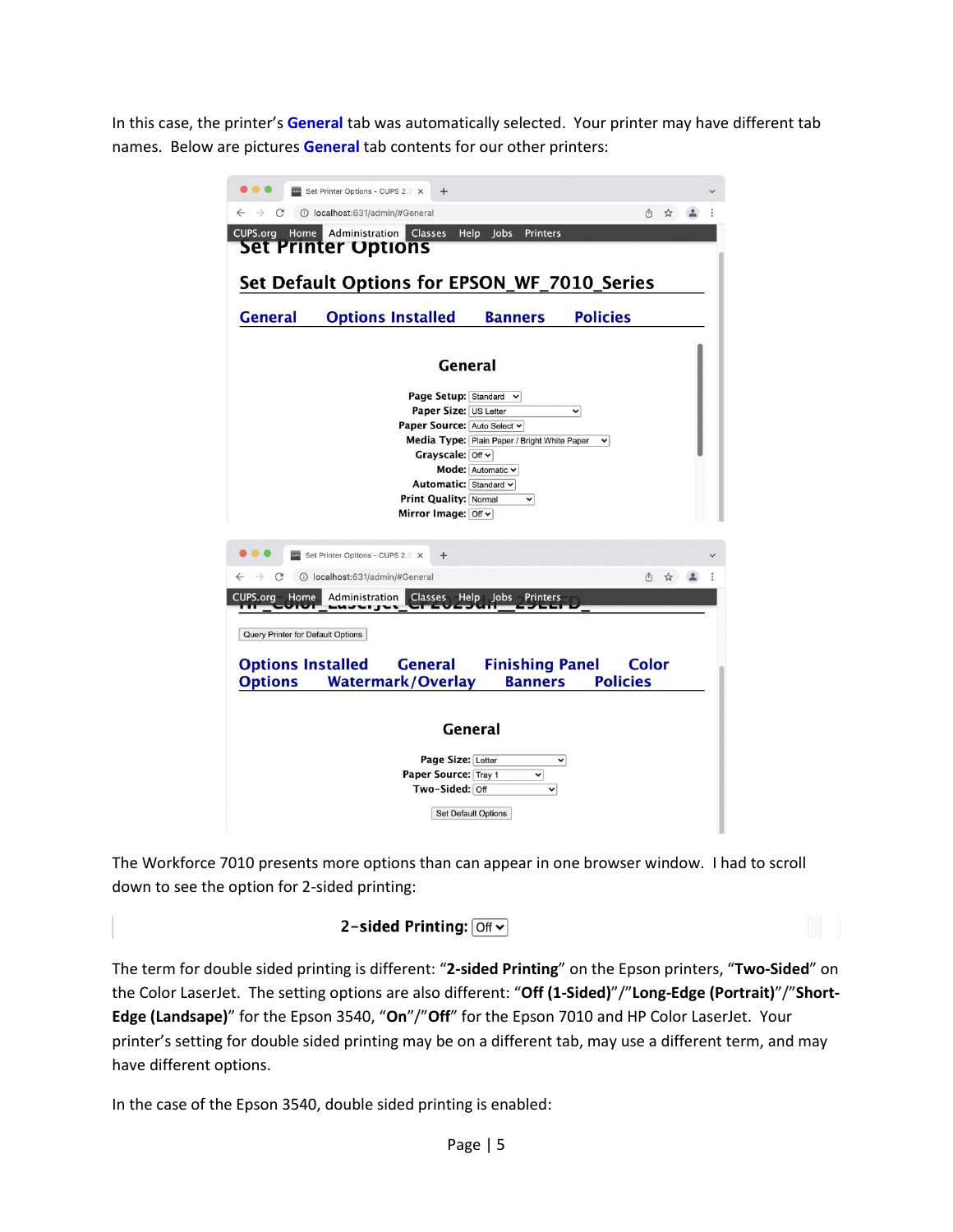In this case, the printer's **General** tab was automatically selected. Your printer may have different tab names. Below are pictures **General** tab contents for our other printers:



The Workforce 7010 presents more options than can appear in one browser window. I had to scroll down to see the option for 2-sided printing:

### 2-sided Printing:  $\boxed{$  Off  $\sim$

The term for double sided printing is different: "**2-sided Printing**" on the Epson printers, "**Two-Sided**" on the Color LaserJet. The setting options are also different: "**Off (1-Sided)**"/"**Long-Edge (Portrait)**"/"**Short-Edge (Landsape)**" for the Epson 3540, "**On**"/"**Off**" for the Epson 7010 and HP Color LaserJet. Your printer's setting for double sided printing may be on a different tab, may use a different term, and may have different options.

In the case of the Epson 3540, double sided printing is enabled: